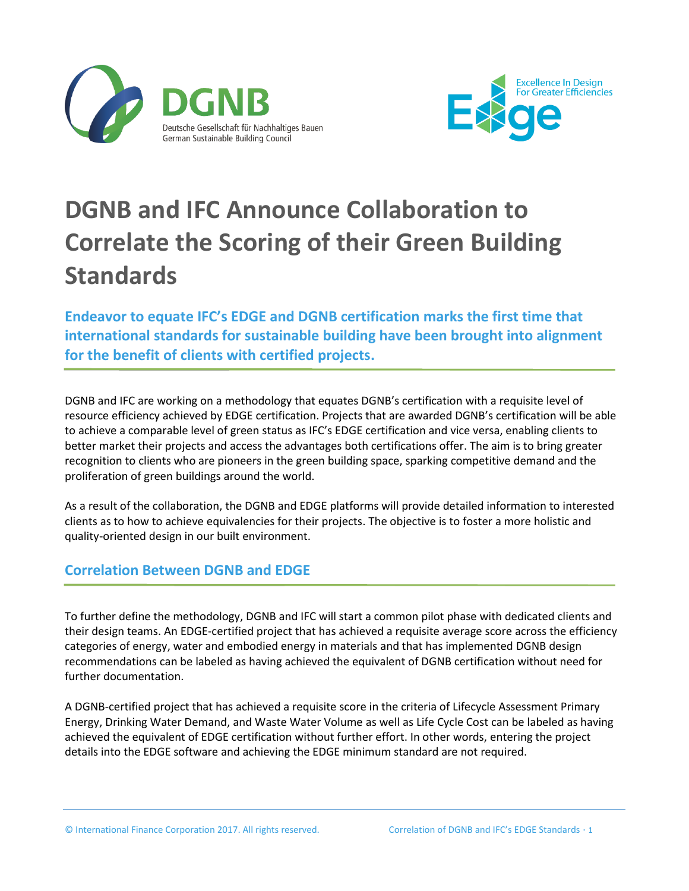



## **DGNB and IFC Announce Collaboration to Correlate the Scoring of their Green Building Standards**

**Endeavor to equate IFC's EDGE and DGNB certification marks the first time that international standards for sustainable building have been brought into alignment for the benefit of clients with certified projects.**

DGNB and IFC are working on a methodology that equates DGNB's certification with a requisite level of resource efficiency achieved by EDGE certification. Projects that are awarded DGNB's certification will be able to achieve a comparable level of green status as IFC's EDGE certification and vice versa, enabling clients to better market their projects and access the advantages both certifications offer. The aim is to bring greater recognition to clients who are pioneers in the green building space, sparking competitive demand and the proliferation of green buildings around the world.

As a result of the collaboration, the DGNB and EDGE platforms will provide detailed information to interested clients as to how to achieve equivalencies for their projects. The objective is to foster a more holistic and quality-oriented design in our built environment.

## **Correlation Between DGNB and EDGE**

To further define the methodology, DGNB and IFC will start a common pilot phase with dedicated clients and their design teams. An EDGE-certified project that has achieved a requisite average score across the efficiency categories of energy, water and embodied energy in materials and that has implemented DGNB design recommendations can be labeled as having achieved the equivalent of DGNB certification without need for further documentation.

A DGNB-certified project that has achieved a requisite score in the criteria of Lifecycle Assessment Primary Energy, Drinking Water Demand, and Waste Water Volume as well as Life Cycle Cost can be labeled as having achieved the equivalent of EDGE certification without further effort. In other words, entering the project details into the EDGE software and achieving the EDGE minimum standard are not required.